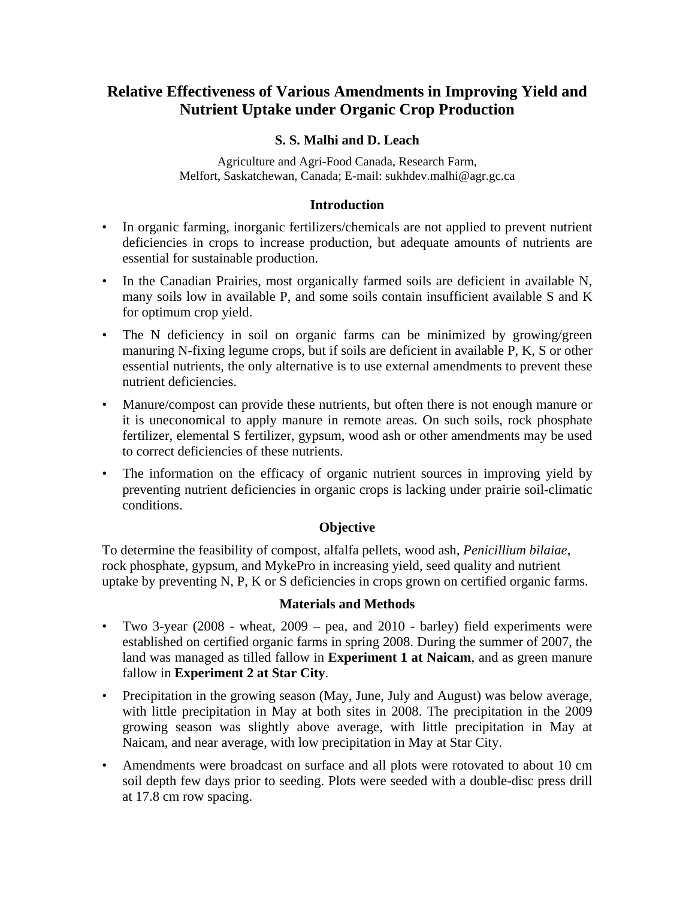# **Relative Effectiveness of Various Amendments in Improving Yield and Nutrient Uptake under Organic Crop Production**

# **S. S. Malhi and D. Leach**

Agriculture and Agri-Food Canada, Research Farm, Melfort, Saskatchewan, Canada; E-mail: sukhdev.malhi@agr.gc.ca

#### **Introduction**

- In organic farming, inorganic fertilizers/chemicals are not applied to prevent nutrient deficiencies in crops to increase production, but adequate amounts of nutrients are essential for sustainable production.
- In the Canadian Prairies, most organically farmed soils are deficient in available N, many soils low in available P, and some soils contain insufficient available S and K for optimum crop yield.
- The N deficiency in soil on organic farms can be minimized by growing/green manuring N-fixing legume crops, but if soils are deficient in available P, K, S or other essential nutrients, the only alternative is to use external amendments to prevent these nutrient deficiencies.
- Manure/compost can provide these nutrients, but often there is not enough manure or it is uneconomical to apply manure in remote areas. On such soils, rock phosphate fertilizer, elemental S fertilizer, gypsum, wood ash or other amendments may be used to correct deficiencies of these nutrients.
- The information on the efficacy of organic nutrient sources in improving yield by preventing nutrient deficiencies in organic crops is lacking under prairie soil-climatic conditions.

#### **Objective**

To determine the feasibility of compost, alfalfa pellets, wood ash, *Penicillium bilaiae*, rock phosphate, gypsum, and MykePro in increasing yield, seed quality and nutrient uptake by preventing N, P, K or S deficiencies in crops grown on certified organic farms.

#### **Materials and Methods**

- Two 3-year (2008 wheat, 2009 pea, and 2010 barley) field experiments were established on certified organic farms in spring 2008. During the summer of 2007, the land was managed as tilled fallow in **Experiment 1 at Naicam**, and as green manure fallow in **Experiment 2 at Star City**.
- Precipitation in the growing season (May, June, July and August) was below average, with little precipitation in May at both sites in 2008. The precipitation in the 2009 growing season was slightly above average, with little precipitation in May at Naicam, and near average, with low precipitation in May at Star City.
- Amendments were broadcast on surface and all plots were rotovated to about 10 cm soil depth few days prior to seeding. Plots were seeded with a double-disc press drill at 17.8 cm row spacing.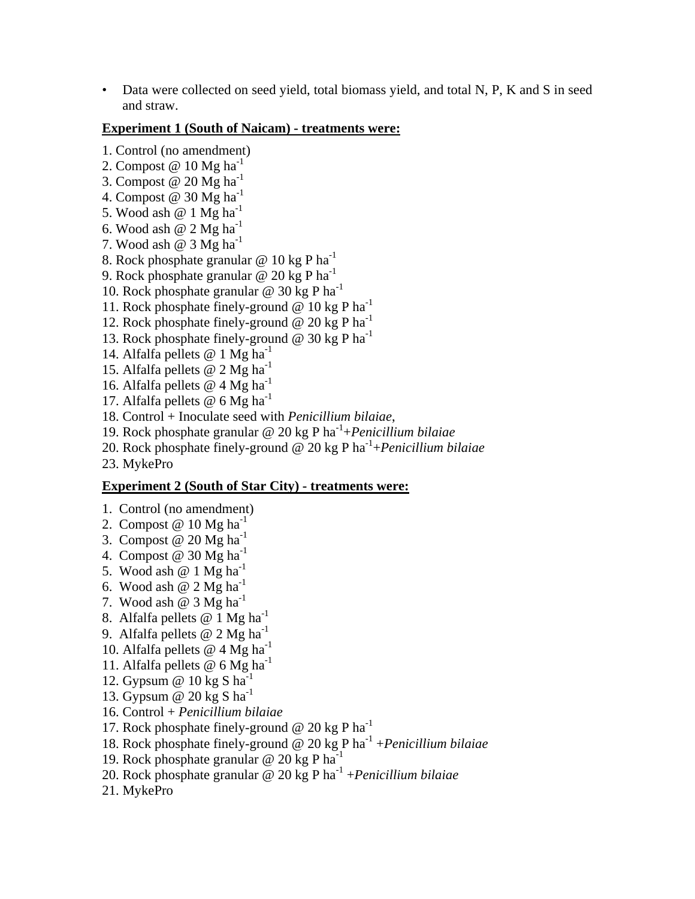• Data were collected on seed yield, total biomass yield, and total N, P, K and S in seed and straw.

#### **Experiment 1 (South of Naicam) - treatments were:**

- 1. Control (no amendment)
- 2. Compost  $@ 10$  Mg ha<sup>-1</sup>
- 3. Compost  $@$  20 Mg ha<sup>-1</sup>
- 4. Compost @ 30 Mg ha<sup>-1</sup>
- 5. Wood ash  $@1$  Mg ha<sup>-1</sup>
- 6. Wood ash  $@$  2 Mg ha<sup>-1</sup>
- 7. Wood ash  $\omega$  3 Mg ha<sup>-1</sup>
- 8. Rock phosphate granular  $\omega$  10 kg P ha<sup>-1</sup>
- 9. Rock phosphate granular @ 20 kg P ha<sup>-1</sup>
- 10. Rock phosphate granular  $\omega$  30 kg P ha<sup>-1</sup>
- 11. Rock phosphate finely-ground  $\omega$  10 kg P ha<sup>-1</sup>
- 12. Rock phosphate finely-ground  $@$  20 kg P ha<sup>-1</sup>
- 13. Rock phosphate finely-ground  $\omega$  30 kg P ha<sup>-1</sup>
- 14. Alfalfa pellets  $@ 1 Mg ha<sup>-1</sup>$
- 15. Alfalfa pellets @ 2 Mg ha<sup>-1</sup>
- 16. Alfalfa pellets  $@$  4 Mg ha<sup>-1</sup>
- 17. Alfalfa pellets  $\omega$  6 Mg ha<sup>-1</sup>
- 18. Control + Inoculate seed with *Penicillium bilaiae*,
- 19. Rock phosphate granular @ 20 kg P ha-1+*Penicillium bilaiae*
- 20. Rock phosphate finely-ground @ 20 kg P ha-1+*Penicillium bilaiae*
- 23. MykePro

#### **Experiment 2 (South of Star City) - treatments were:**

- 1. Control (no amendment)
- 2. Compost  $@ 10 Mg ha<sup>-1</sup>$
- 3. Compost  $@$  20 Mg ha<sup>-1</sup>
- 4. Compost @ 30 Mg  $ha^{-1}$
- 5. Wood ash  $@1$  Mg ha<sup>-1</sup>
- 6. Wood ash  $@$  2 Mg ha<sup>-1</sup>
- 7. Wood ash  $@ 3 Mg ha<sup>-1</sup>$
- 8. Alfalfa pellets  $@1$  Mg ha<sup>-1</sup>
- 9. Alfalfa pellets @ 2 Mg ha<sup>-1</sup>
- 10. Alfalfa pellets  $@$  4 Mg ha<sup>-1</sup>
- 11. Alfalfa pellets @ 6 Mg ha-1
- 12. Gypsum  $\omega$  10 kg S ha<sup>-1</sup>
- 13. Gypsum  $\omega$  20 kg S ha<sup>-1</sup>
- 16. Control + *Penicillium bilaiae*
- 17. Rock phosphate finely-ground @ 20 kg P ha-1
- 18. Rock phosphate finely-ground @ 20 kg P ha-1 +*Penicillium bilaiae*
- 19. Rock phosphate granular  $\omega$  20 kg P ha<sup>-1</sup>
- 20. Rock phosphate granular @ 20 kg P ha-1 +*Penicillium bilaiae*
- 21. MykePro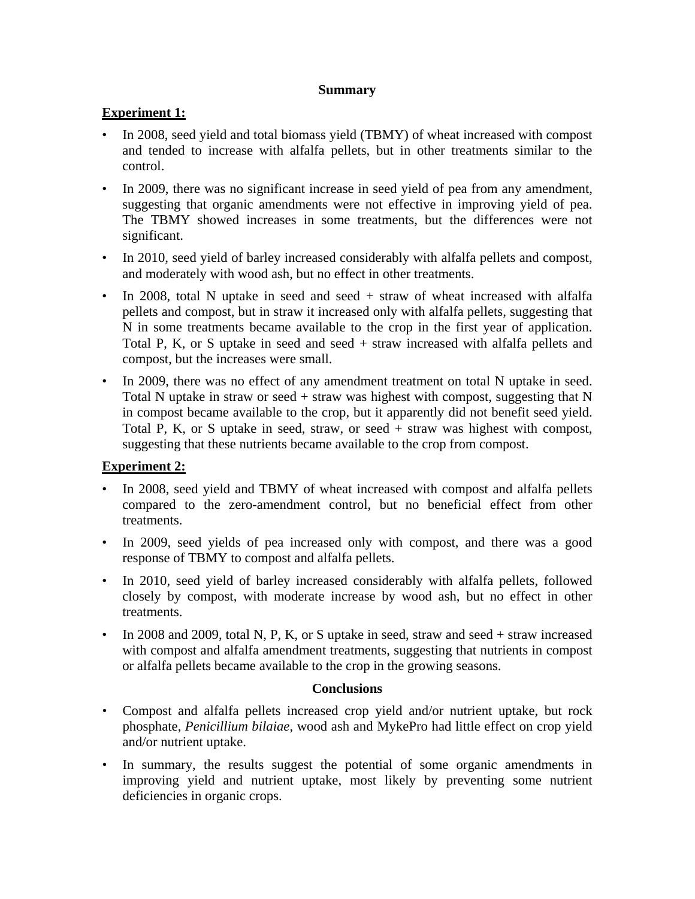#### **Summary**

# **Experiment 1:**

- In 2008, seed yield and total biomass yield (TBMY) of wheat increased with compost and tended to increase with alfalfa pellets, but in other treatments similar to the control.
- In 2009, there was no significant increase in seed yield of pea from any amendment, suggesting that organic amendments were not effective in improving yield of pea. The TBMY showed increases in some treatments, but the differences were not significant.
- In 2010, seed yield of barley increased considerably with alfalfa pellets and compost, and moderately with wood ash, but no effect in other treatments.
- In 2008, total N uptake in seed and seed  $+$  straw of wheat increased with alfalfa pellets and compost, but in straw it increased only with alfalfa pellets, suggesting that N in some treatments became available to the crop in the first year of application. Total P, K, or S uptake in seed and seed + straw increased with alfalfa pellets and compost, but the increases were small.
- In 2009, there was no effect of any amendment treatment on total N uptake in seed. Total N uptake in straw or seed + straw was highest with compost, suggesting that N in compost became available to the crop, but it apparently did not benefit seed yield. Total P, K, or S uptake in seed, straw, or seed + straw was highest with compost, suggesting that these nutrients became available to the crop from compost.

# **Experiment 2:**

- In 2008, seed yield and TBMY of wheat increased with compost and alfalfa pellets compared to the zero-amendment control, but no beneficial effect from other treatments.
- In 2009, seed yields of pea increased only with compost, and there was a good response of TBMY to compost and alfalfa pellets.
- In 2010, seed yield of barley increased considerably with alfalfa pellets, followed closely by compost, with moderate increase by wood ash, but no effect in other treatments.
- In 2008 and 2009, total N, P, K, or S uptake in seed, straw and seed  $+$  straw increased with compost and alfalfa amendment treatments, suggesting that nutrients in compost or alfalfa pellets became available to the crop in the growing seasons.

#### **Conclusions**

- Compost and alfalfa pellets increased crop yield and/or nutrient uptake, but rock phosphate, *Penicillium bilaiae*, wood ash and MykePro had little effect on crop yield and/or nutrient uptake.
- In summary, the results suggest the potential of some organic amendments in improving yield and nutrient uptake, most likely by preventing some nutrient deficiencies in organic crops.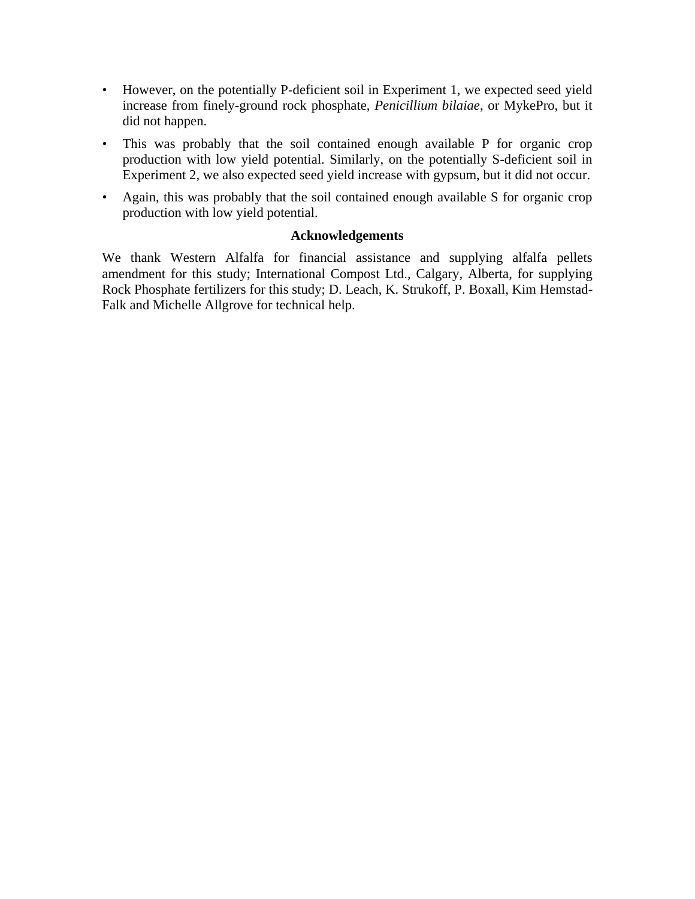- However, on the potentially P-deficient soil in Experiment 1, we expected seed yield increase from finely-ground rock phosphate, *Penicillium bilaiae*, or MykePro, but it did not happen.
- This was probably that the soil contained enough available P for organic crop production with low yield potential. Similarly, on the potentially S-deficient soil in Experiment 2, we also expected seed yield increase with gypsum, but it did not occur.
- Again, this was probably that the soil contained enough available S for organic crop production with low yield potential.

### **Acknowledgements**

We thank Western Alfalfa for financial assistance and supplying alfalfa pellets amendment for this study; International Compost Ltd., Calgary, Alberta, for supplying Rock Phosphate fertilizers for this study; D. Leach, K. Strukoff, P. Boxall, Kim Hemstad-Falk and Michelle Allgrove for technical help.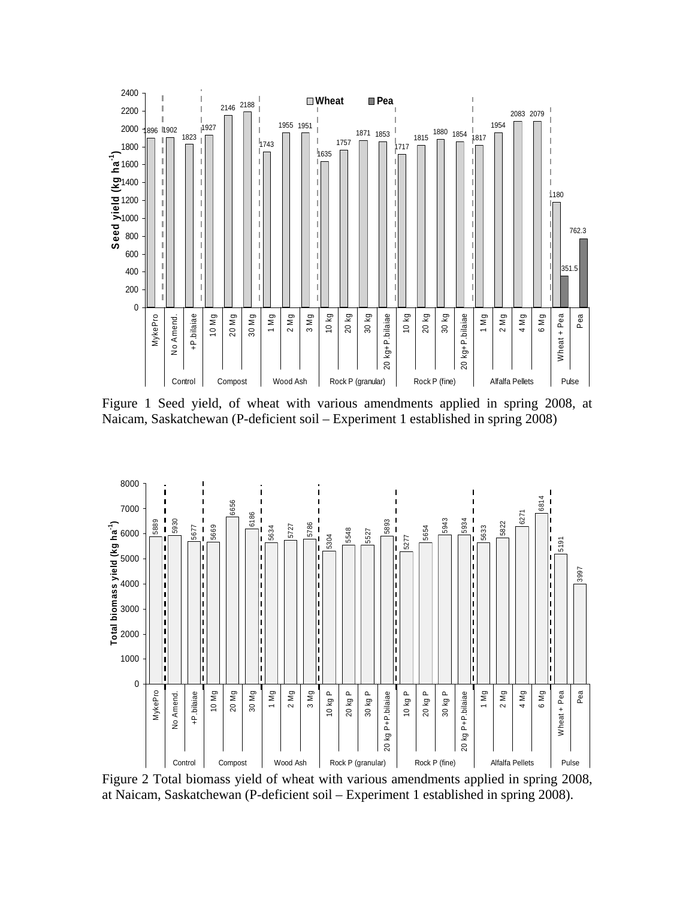

Figure 1 Seed yield, of wheat with various amendments applied in spring 2008, at Naicam, Saskatchewan (P-deficient soil – Experiment 1 established in spring 2008)



Figure 2 Total biomass yield of wheat with various amendments applied in spring 2008, at Naicam, Saskatchewan (P-deficient soil – Experiment 1 established in spring 2008).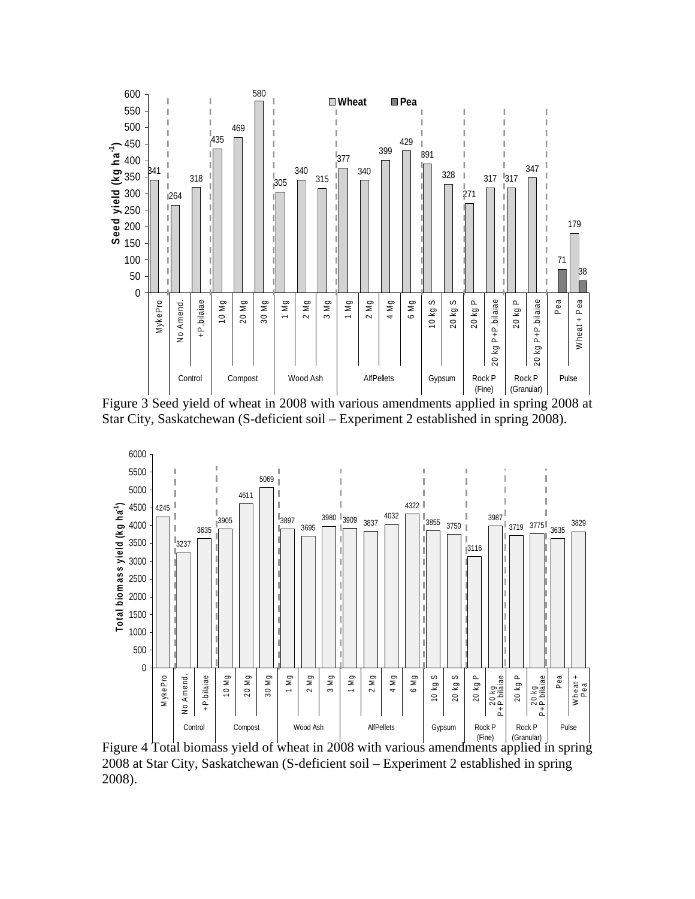

Figure 3 Seed yield of wheat in 2008 with various amendments applied in spring 2008 at Star City, Saskatchewan (S-deficient soil – Experiment 2 established in spring 2008).



Figure 4 Total biomass yield of wheat in 2008 with various amendments applied in spring 2008 at Star City, Saskatchewan (S-deficient soil – Experiment 2 established in spring 2008).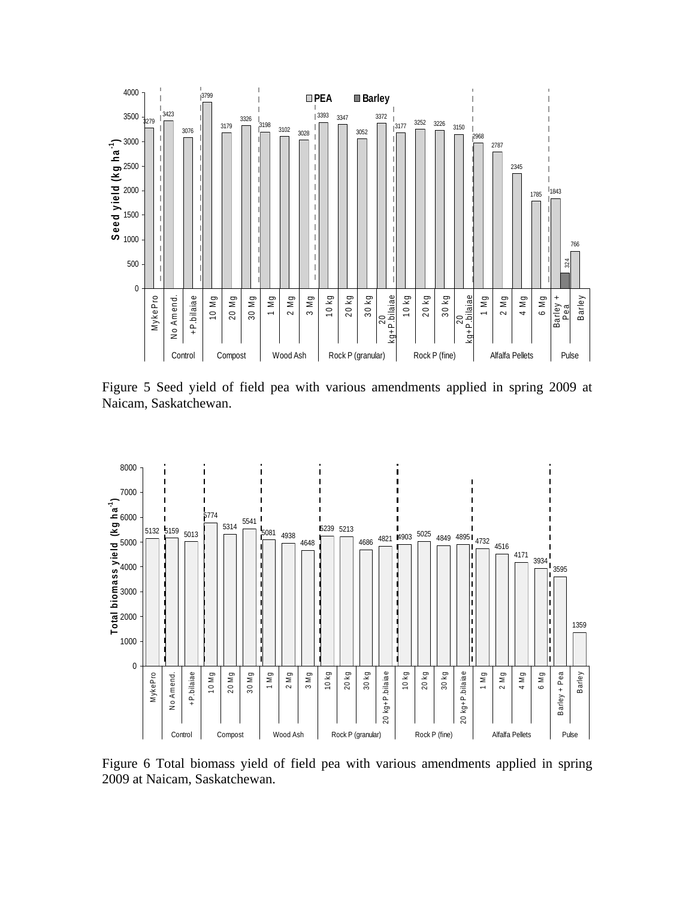

Figure 5 Seed yield of field pea with various amendments applied in spring 2009 at Naicam, Saskatchewan.



Figure 6 Total biomass yield of field pea with various amendments applied in spring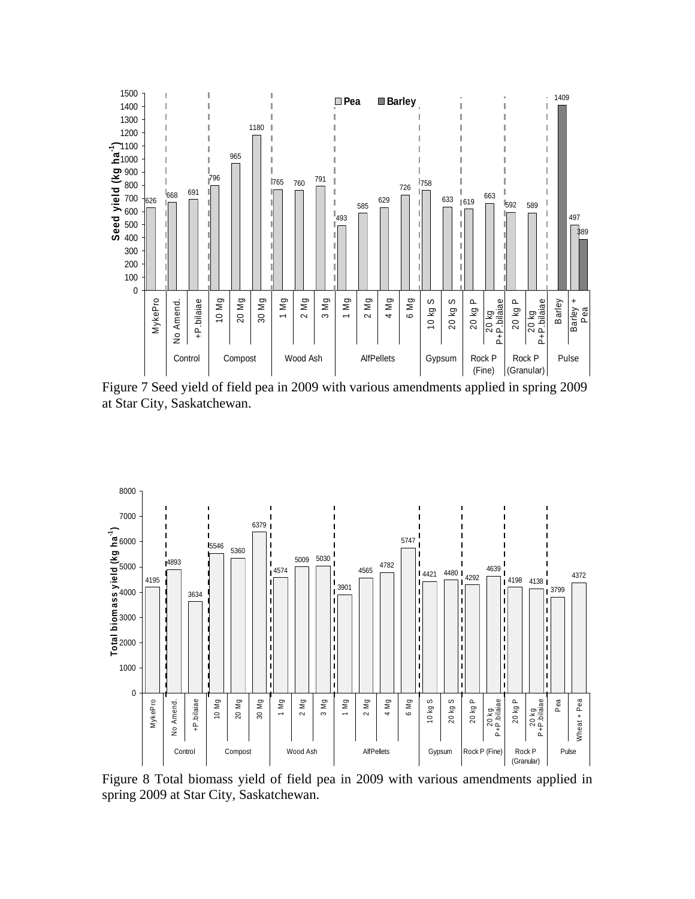

Figure 7 Seed yield of field pea in 2009 with various amendments applied in spring 2009 at Star City, Saskatchewan.



Figure 8 Total biomass yield of field pea in 2009 with various amendments applied in